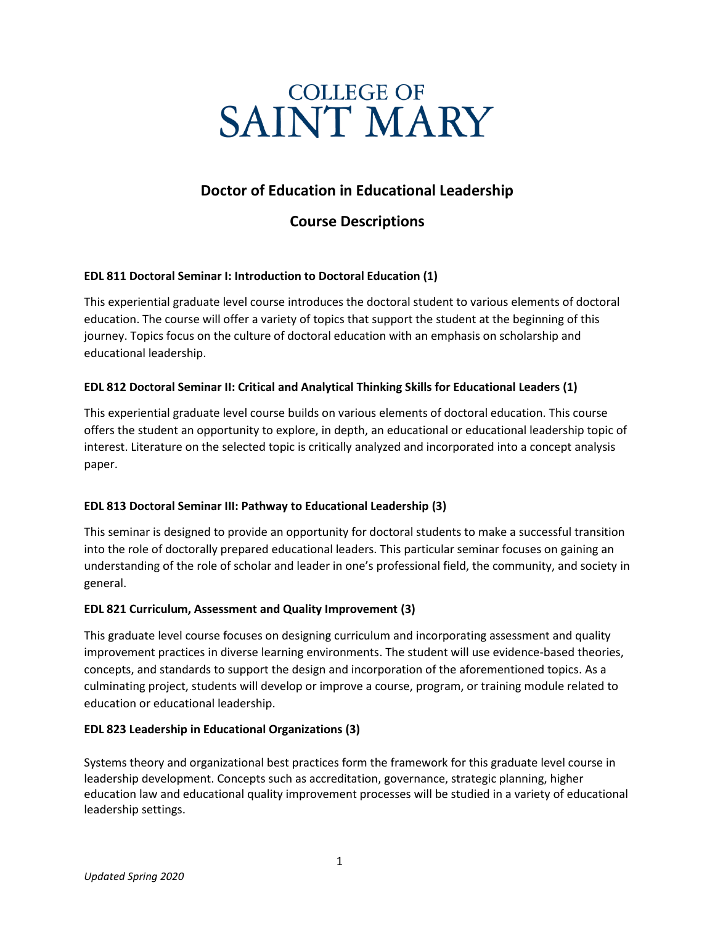# **SAINT MARY**

# **Doctor of Education in Educational Leadership**

# **Course Descriptions**

# **EDL 811 Doctoral Seminar I: Introduction to Doctoral Education (1)**

This experiential graduate level course introduces the doctoral student to various elements of doctoral education. The course will offer a variety of topics that support the student at the beginning of this journey. Topics focus on the culture of doctoral education with an emphasis on scholarship and educational leadership.

# **EDL 812 Doctoral Seminar II: Critical and Analytical Thinking Skills for Educational Leaders (1)**

This experiential graduate level course builds on various elements of doctoral education. This course offers the student an opportunity to explore, in depth, an educational or educational leadership topic of interest. Literature on the selected topic is critically analyzed and incorporated into a concept analysis paper.

# **EDL 813 Doctoral Seminar III: Pathway to Educational Leadership (3)**

This seminar is designed to provide an opportunity for doctoral students to make a successful transition into the role of doctorally prepared educational leaders. This particular seminar focuses on gaining an understanding of the role of scholar and leader in one's professional field, the community, and society in general.

# **EDL 821 Curriculum, Assessment and Quality Improvement (3)**

This graduate level course focuses on designing curriculum and incorporating assessment and quality improvement practices in diverse learning environments. The student will use evidence-based theories, concepts, and standards to support the design and incorporation of the aforementioned topics. As a culminating project, students will develop or improve a course, program, or training module related to education or educational leadership.

# **EDL 823 Leadership in Educational Organizations (3)**

Systems theory and organizational best practices form the framework for this graduate level course in leadership development. Concepts such as accreditation, governance, strategic planning, higher education law and educational quality improvement processes will be studied in a variety of educational leadership settings.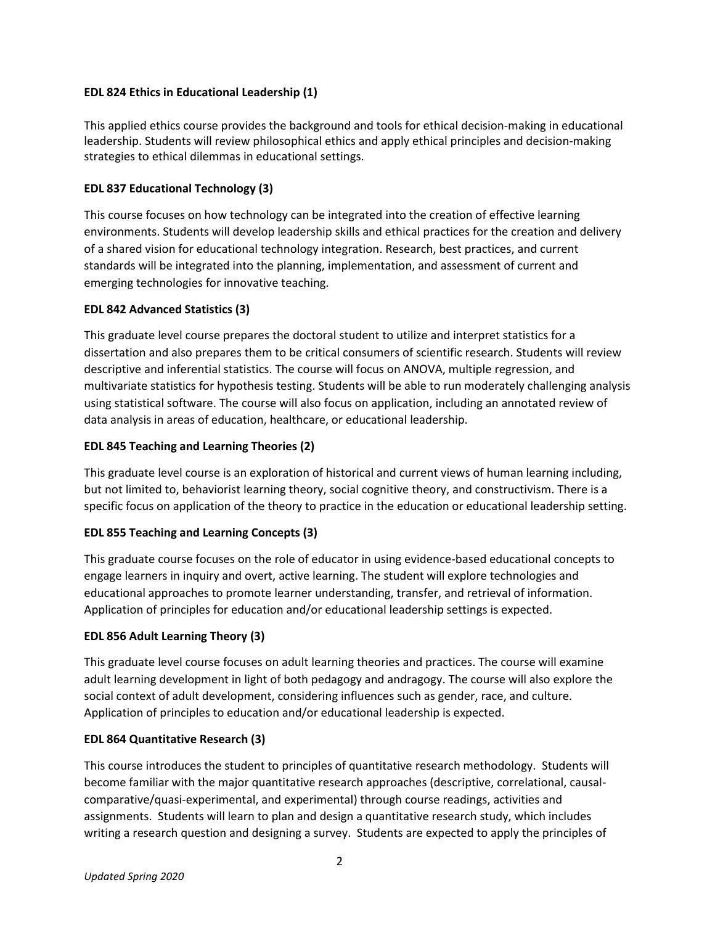#### **EDL 824 Ethics in Educational Leadership (1)**

This applied ethics course provides the background and tools for ethical decision-making in educational leadership. Students will review philosophical ethics and apply ethical principles and decision-making strategies to ethical dilemmas in educational settings.

#### **EDL 837 Educational Technology (3)**

This course focuses on how technology can be integrated into the creation of effective learning environments. Students will develop leadership skills and ethical practices for the creation and delivery of a shared vision for educational technology integration. Research, best practices, and current standards will be integrated into the planning, implementation, and assessment of current and emerging technologies for innovative teaching.

#### **EDL 842 Advanced Statistics (3)**

This graduate level course prepares the doctoral student to utilize and interpret statistics for a dissertation and also prepares them to be critical consumers of scientific research. Students will review descriptive and inferential statistics. The course will focus on ANOVA, multiple regression, and multivariate statistics for hypothesis testing. Students will be able to run moderately challenging analysis using statistical software. The course will also focus on application, including an annotated review of data analysis in areas of education, healthcare, or educational leadership.

#### **EDL 845 Teaching and Learning Theories (2)**

This graduate level course is an exploration of historical and current views of human learning including, but not limited to, behaviorist learning theory, social cognitive theory, and constructivism. There is a specific focus on application of the theory to practice in the education or educational leadership setting.

# **EDL 855 Teaching and Learning Concepts (3)**

This graduate course focuses on the role of educator in using evidence-based educational concepts to engage learners in inquiry and overt, active learning. The student will explore technologies and educational approaches to promote learner understanding, transfer, and retrieval of information. Application of principles for education and/or educational leadership settings is expected.

# **EDL 856 Adult Learning Theory (3)**

This graduate level course focuses on adult learning theories and practices. The course will examine adult learning development in light of both pedagogy and andragogy. The course will also explore the social context of adult development, considering influences such as gender, race, and culture. Application of principles to education and/or educational leadership is expected.

#### **EDL 864 Quantitative Research (3)**

This course introduces the student to principles of quantitative research methodology. Students will become familiar with the major quantitative research approaches (descriptive, correlational, causalcomparative/quasi-experimental, and experimental) through course readings, activities and assignments. Students will learn to plan and design a quantitative research study, which includes writing a research question and designing a survey. Students are expected to apply the principles of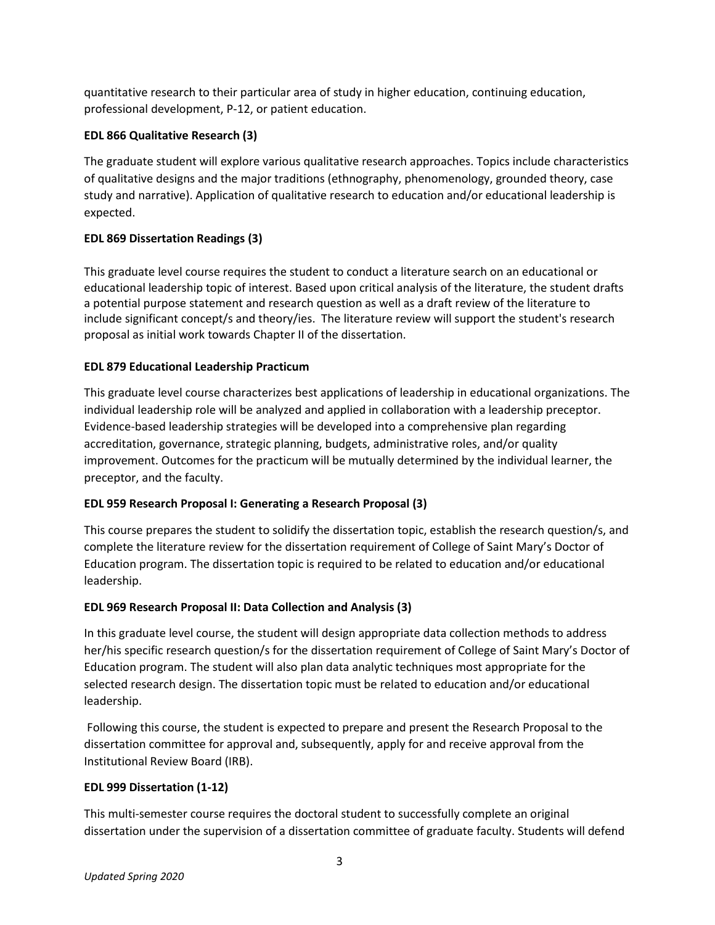quantitative research to their particular area of study in higher education, continuing education, professional development, P-12, or patient education.

# **EDL 866 Qualitative Research (3)**

The graduate student will explore various qualitative research approaches. Topics include characteristics of qualitative designs and the major traditions (ethnography, phenomenology, grounded theory, case study and narrative). Application of qualitative research to education and/or educational leadership is expected.

# **EDL 869 Dissertation Readings (3)**

This graduate level course requires the student to conduct a literature search on an educational or educational leadership topic of interest. Based upon critical analysis of the literature, the student drafts a potential purpose statement and research question as well as a draft review of the literature to include significant concept/s and theory/ies. The literature review will support the student's research proposal as initial work towards Chapter II of the dissertation.

# **EDL 879 Educational Leadership Practicum**

This graduate level course characterizes best applications of leadership in educational organizations. The individual leadership role will be analyzed and applied in collaboration with a leadership preceptor. Evidence-based leadership strategies will be developed into a comprehensive plan regarding accreditation, governance, strategic planning, budgets, administrative roles, and/or quality improvement. Outcomes for the practicum will be mutually determined by the individual learner, the preceptor, and the faculty.

# **EDL 959 Research Proposal I: Generating a Research Proposal (3)**

This course prepares the student to solidify the dissertation topic, establish the research question/s, and complete the literature review for the dissertation requirement of College of Saint Mary's Doctor of Education program. The dissertation topic is required to be related to education and/or educational leadership.

# **EDL 969 Research Proposal II: Data Collection and Analysis (3)**

In this graduate level course, the student will design appropriate data collection methods to address her/his specific research question/s for the dissertation requirement of College of Saint Mary's Doctor of Education program. The student will also plan data analytic techniques most appropriate for the selected research design. The dissertation topic must be related to education and/or educational leadership.

Following this course, the student is expected to prepare and present the Research Proposal to the dissertation committee for approval and, subsequently, apply for and receive approval from the Institutional Review Board (IRB).

# **EDL 999 Dissertation (1-12)**

This multi-semester course requires the doctoral student to successfully complete an original dissertation under the supervision of a dissertation committee of graduate faculty. Students will defend